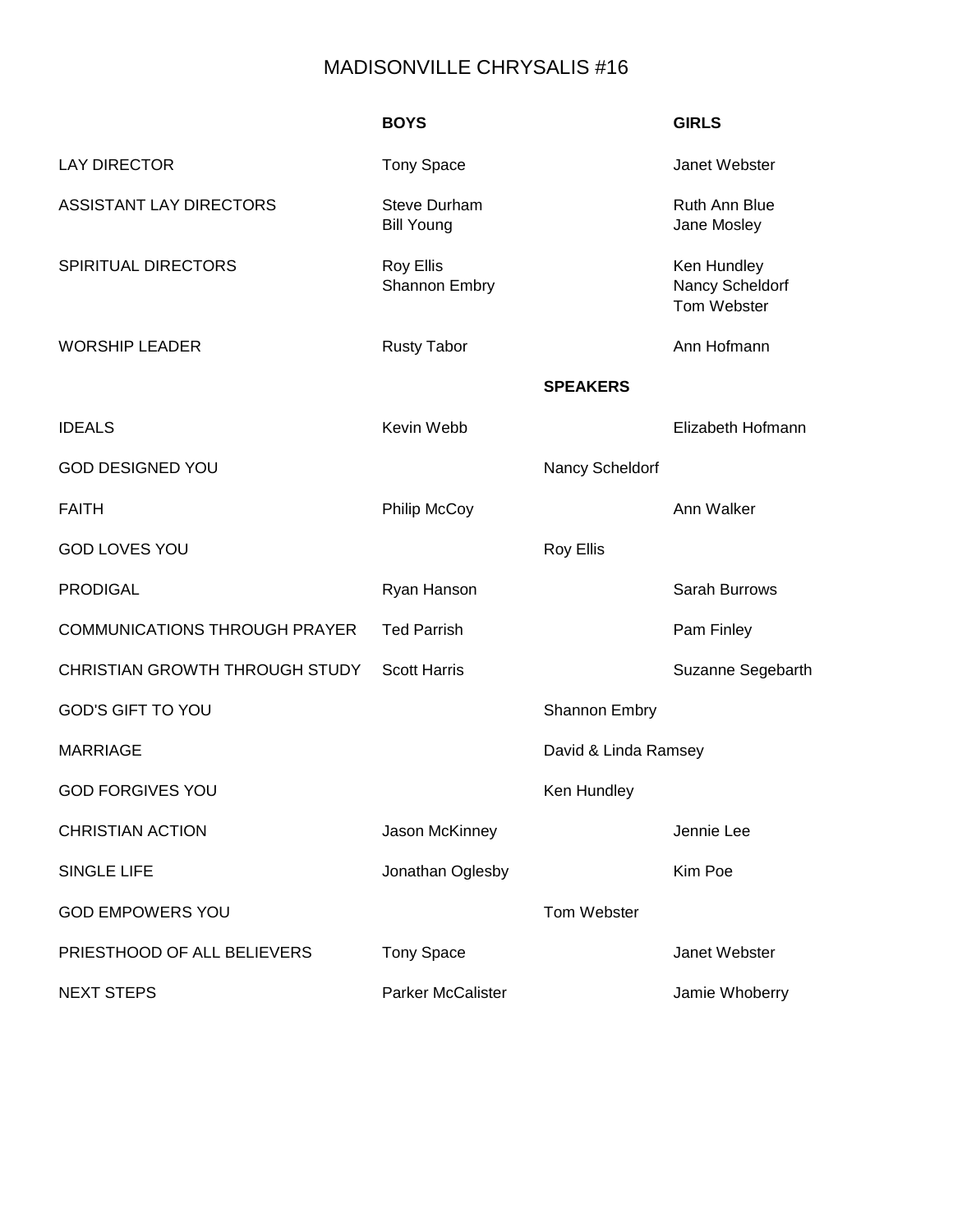## MADISONVILLE CHRYSALIS #16

|                                      | <b>BOYS</b>                              |                      | <b>GIRLS</b>                                  |
|--------------------------------------|------------------------------------------|----------------------|-----------------------------------------------|
| <b>LAY DIRECTOR</b>                  | <b>Tony Space</b>                        |                      | Janet Webster                                 |
| <b>ASSISTANT LAY DIRECTORS</b>       | <b>Steve Durham</b><br><b>Bill Young</b> |                      | <b>Ruth Ann Blue</b><br>Jane Mosley           |
| <b>SPIRITUAL DIRECTORS</b>           | Roy Ellis<br>Shannon Embry               |                      | Ken Hundley<br>Nancy Scheldorf<br>Tom Webster |
| <b>WORSHIP LEADER</b>                | <b>Rusty Tabor</b>                       |                      | Ann Hofmann                                   |
|                                      |                                          | <b>SPEAKERS</b>      |                                               |
| <b>IDEALS</b>                        | Kevin Webb                               |                      | Elizabeth Hofmann                             |
| <b>GOD DESIGNED YOU</b>              |                                          | Nancy Scheldorf      |                                               |
| <b>FAITH</b>                         | <b>Philip McCoy</b>                      |                      | Ann Walker                                    |
| <b>GOD LOVES YOU</b>                 |                                          | <b>Roy Ellis</b>     |                                               |
| <b>PRODIGAL</b>                      | Ryan Hanson                              |                      | Sarah Burrows                                 |
| <b>COMMUNICATIONS THROUGH PRAYER</b> | <b>Ted Parrish</b>                       |                      | Pam Finley                                    |
| CHRISTIAN GROWTH THROUGH STUDY       | <b>Scott Harris</b>                      |                      | Suzanne Segebarth                             |
| <b>GOD'S GIFT TO YOU</b>             |                                          | <b>Shannon Embry</b> |                                               |
| <b>MARRIAGE</b>                      |                                          | David & Linda Ramsey |                                               |
| <b>GOD FORGIVES YOU</b>              |                                          | Ken Hundley          |                                               |
| <b>CHRISTIAN ACTION</b>              | Jason McKinney                           |                      | Jennie Lee                                    |
| <b>SINGLE LIFE</b>                   | Jonathan Oglesby                         |                      | Kim Poe                                       |
| <b>GOD EMPOWERS YOU</b>              |                                          | Tom Webster          |                                               |
| PRIESTHOOD OF ALL BELIEVERS          | <b>Tony Space</b>                        |                      | Janet Webster                                 |
| <b>NEXT STEPS</b>                    | <b>Parker McCalister</b>                 |                      | Jamie Whoberry                                |